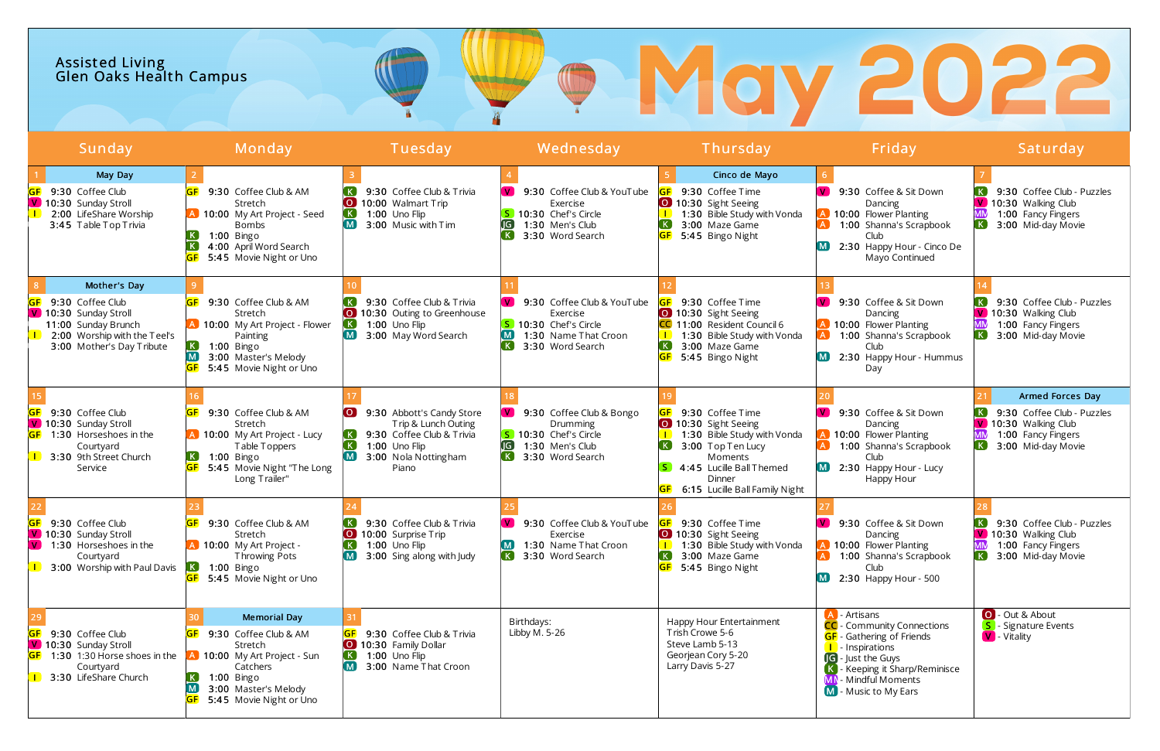| <b>Assisted Living<br/>Glen Oaks Health Campus</b> |  |
|----------------------------------------------------|--|
|----------------------------------------------------|--|

| <u>lSun</u> day                                                                                                                                      | Monday                                                                                                                                                                               | Tuesday                                                                                                                                           | Wednesday                                                                                                                                          | <u>Thur</u> sday                                                                                                                                                              | Friday                                                                                                                                                                                                                  | Saturday                                                                                                                                         |
|------------------------------------------------------------------------------------------------------------------------------------------------------|--------------------------------------------------------------------------------------------------------------------------------------------------------------------------------------|---------------------------------------------------------------------------------------------------------------------------------------------------|----------------------------------------------------------------------------------------------------------------------------------------------------|-------------------------------------------------------------------------------------------------------------------------------------------------------------------------------|-------------------------------------------------------------------------------------------------------------------------------------------------------------------------------------------------------------------------|--------------------------------------------------------------------------------------------------------------------------------------------------|
| May Day<br>9:30 Coffee Club<br>V 10:30 Sunday Stroll<br>2:00 LifeShare Worship<br>3:45 Table Top Trivia                                              | 9:30 Coffee Club & AM<br>Stretch<br>A 10:00 My Art Project - Seed<br><b>Bombs</b><br>. K .<br>1:00 Bingo<br>4:00 April Word Search<br>5:45 Movie Night or Uno                        | 9:30 Coffee Club & Trivia<br>$\bullet$<br>10:00 Walmart Trip<br>1:00 Uno Flip<br>3:00 Music with Tim                                              | 9:30 Coffee Club & YouTube<br>Exercise<br>5 10:30 Chef's Circle<br>1:30 Men's Club<br>.IG<br>. K<br>3:30 Word Search                               | Cinco de Mayo<br>9:30 Coffee Time<br>10:30 Sight Seeing<br>1:30 Bible Study with Vonda<br>3:00 Maze Game<br>5:45 Bingo Night                                                  | V.<br>9:30 Coffee & Sit Down<br>Dancing<br>10:00 Flower Planting<br>1:00 Shanna's Scrapbook<br>Club<br>2:30 Happy Hour - Cinco De<br>Mayo Continued                                                                     | 9:30 Coffee Club - Puzzles<br>$\mathbf{V}$<br>10:30 Walking Club<br>1:00 Fancy Fingers<br>K.<br>3:00 Mid-day Movie                               |
| Mother's Day<br>9:30 Coffee Club<br>V 10:30 Sunday Stroll<br>11:00 Sunday Brunch<br>2:00 Worship with the Teel's<br>3:00 Mother's Day Tribute        | 9:30 Coffee Club & AM<br>GF<br>Stretch<br>A 10:00 My Art Project - Flower<br>Painting<br>$\kappa$<br>1:00 Bingo<br>$\blacksquare$<br>3:00 Master's Melody<br>5:45 Movie Night or Uno | 9:30 Coffee Club & Trivia<br>10:30 Outing to Greenhouse<br>1:00 Uno Flip<br>. K .<br>3:00 May Word Search                                         | 9:30 Coffee Club & YouTube<br>$\mathbf{V}$<br>Exercise<br>S 10:30 Chef's Circle<br>$\blacksquare$<br>1:30 Name That Croon<br>K<br>3:30 Word Search | 9:30 Coffee Time<br>10:30 Sight Seeing<br>CC 11:00 Resident Council 6<br>1:30 Bible Study with Vonda<br>(K)<br>3:00 Maze Game<br>5:45 Bingo Night                             | 9:30 Coffee & Sit Down<br>Dancing<br>10:00 Flower Planting<br>1:00 Shanna's Scrapbook<br>Club<br>2:30 Happy Hour - Hummus<br>Day                                                                                        | 9:30 Coffee Club - Puzzles<br>V 10:30 Walking Club<br>1:00 Fancy Fingers<br>K<br>3:00 Mid-day Movie                                              |
| 9:30 Coffee Club<br>V 10:30 Sunday Stroll<br>1:30 Horseshoes in the<br>Courtyard<br>3:30 9th Street Church<br>Service                                | 9:30 Coffee Club & AM<br>Stretch<br>A 10:00 My Art Project - Lucy<br>Table Toppers<br>$\left( \mathbf{K}\right)$<br>$1:00$ Bingo<br>5:45 Movie Night "The Long<br>Long Trailer"      | 9:30 Abbott's Candy Store<br>$\overline{S}$<br>Trip & Lunch Outing<br>9:30 Coffee Club & Trivia<br>1:00 Uno Flip<br>3:00 Nola Nottingham<br>Piano | 9:30 Coffee Club & Bongo<br>Drumming<br>5 10:30 Chef's Circle<br>IG)<br>1:30 Men's Club<br>K<br>3:30 Word Search                                   | 9:30 Coffee Time<br>10:30 Sight Seeing<br>1:30 Bible Study with Vonda<br>3:00 Top Ten Lucy<br>Moments<br>4:45 Lucille Ball Themed<br>Dinner<br>6:15 Lucille Ball Family Night | 9:30 Coffee & Sit Down<br>$\mathbf{V}$<br>Dancing<br>10:00 Flower Planting<br>1:00 Shanna's Scrapbook<br>Club<br>2:30 Happy Hour - Lucy<br>Happy Hour                                                                   | Armed Forces Day<br>9:30 Coffee Club - Puzzles<br>$\mathbf{V}$<br>10:30 Walking Club<br>1:00 Fancy Fingers<br>$\mathsf{K}$<br>3:00 Mid-day Movie |
| 9:30 Coffee Club<br>V 10:30 Sunday Stroll<br>$\mathbf{V}$<br>1:30 Horseshoes in the<br>Courtyard<br>3:00 Worship with Paul Davis <b>K</b> 1:00 Bingo | 9:30 Coffee Club & AM<br>Stretch<br>A 10:00 My Art Project -<br>Throwing Pots<br><b>GF</b> 5:45 Movie Night or Uno                                                                   | 9:30 Coffee Club & Trivia<br>$\overline{1}$<br>10:00 Surprise Trip<br>1:00 Uno Flip<br>3:00 Sing along with Judy                                  | 9:30 Coffee Club & YouTube<br>Exercise<br>1:30 Name That Croon<br>$\left( \mathbf{K}\right)$<br>3:30 Word Search                                   | 9:30 Coffee Time<br>10:30 Sight Seeing<br>1:30 Bible Study with Vonda<br>3:00 Maze Game<br>. K J<br>5:45 Bingo Night                                                          | 9:30 Coffee & Sit Down<br>Dancing<br>10:00 Flower Planting<br>1:00 Shanna's Scrapbook<br>Club<br>2:30 Happy Hour - 500                                                                                                  | 9:30 Coffee Club - Puzzles<br>V 10:30 Walking Club<br>1:00 Fancy Fingers<br>K<br>3:00 Mid-day Movie                                              |
| 9:30 Coffee Club<br>V 10:30 Sunday Stroll<br>1:30 1:30 Horse shoes in the<br>Courtyard<br><b>1</b> 3:30 LifeShare Church                             | <b>Memorial Day</b><br>9:30 Coffee Club & AM<br>Stretch<br>10:00 My Art Project - Sun<br>Catchers<br>$1:00$ Bingo<br>3:00 Master's Melody<br>5:45 Movie Night or Uno                 | 9:30 Coffee Club & Trivia<br>10:30 Family Dollar<br>1:00 Uno Flip<br>3:00 Name That Croon                                                         | Birthdays:<br>Libby M. 5-26                                                                                                                        | Happy Hour Entertainment<br>Trish Crowe 5-6<br>Steve Lamb 5-13<br>Georjean Cory 5-20<br>Larry Davis 5-27                                                                      | A - Artisans<br>CC - Community Connections<br><b>GF</b> - Gathering of Friends<br><b>I</b> Inspirations<br><b>G</b> - Just the Guys<br>- Keeping it Sharp/Reminisce<br>- Mindful Moments<br><b>M</b> - Music to My Ears | O - Out & About<br><b>S</b> - Signature Events<br><b>V</b> - Vitality                                                                            |

# 2022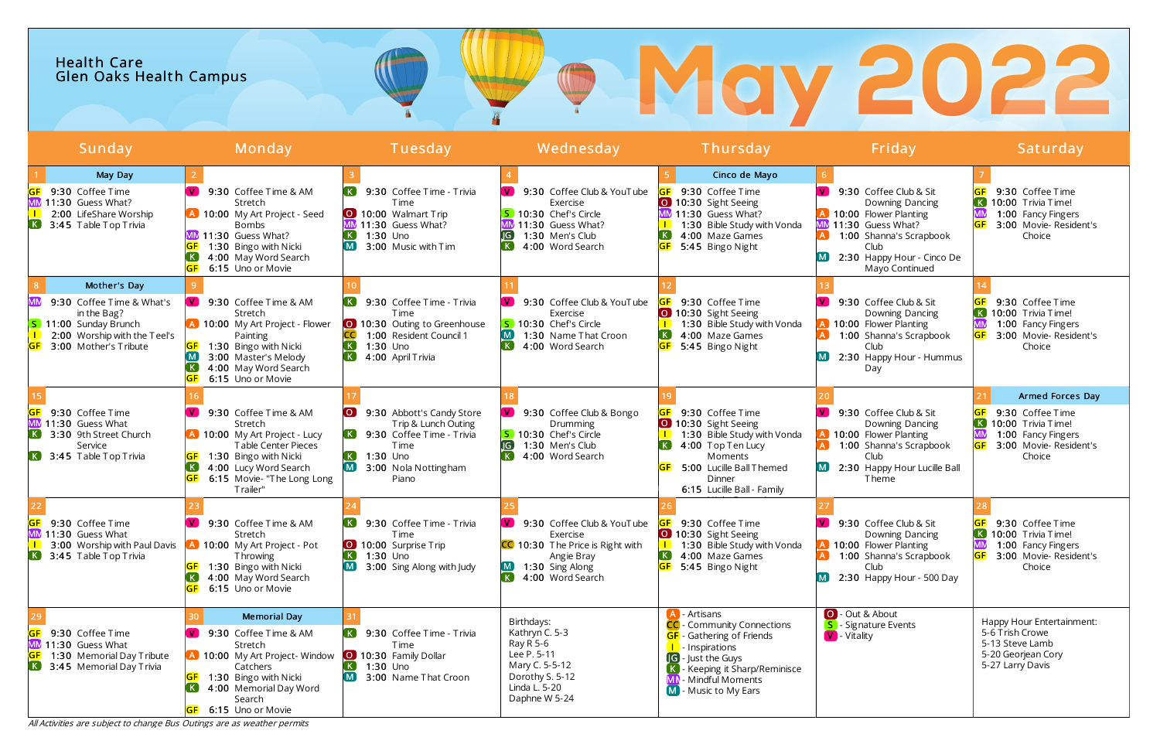## **OMOY 2022** Health Care Glen Oaks Health Campus

All Activities are subject to change Bus Outings are as weather permits

| Sunday                                                                                                                                            | Monday                                                                                                                                                                                                                                         | Tuesday                                                                                                                                                                                          | Wednesday                                                                                                                                                     | Thursday                                                                                                                                                                                                                | Friday                                                                                                                                                                                 | Saturday                                                                                                               |
|---------------------------------------------------------------------------------------------------------------------------------------------------|------------------------------------------------------------------------------------------------------------------------------------------------------------------------------------------------------------------------------------------------|--------------------------------------------------------------------------------------------------------------------------------------------------------------------------------------------------|---------------------------------------------------------------------------------------------------------------------------------------------------------------|-------------------------------------------------------------------------------------------------------------------------------------------------------------------------------------------------------------------------|----------------------------------------------------------------------------------------------------------------------------------------------------------------------------------------|------------------------------------------------------------------------------------------------------------------------|
| May Day<br>9:30 Coffee Time<br>MM 11:30 Guess What?<br>2:00 LifeShare Worship<br><b>K</b> 3:45 Table Top Trivia                                   | $\mathbf{V}$<br>9:30 Coffee Time & AM<br>Stretch<br>A 10:00 My Art Project - Seed<br><b>Bombs</b><br>MM 11:30 Guess What?<br>1:30 Bingo with Nicki<br>4:00 May Word Search<br><b>GF</b><br>6:15 Uno or Movie                                   | 9:30 Coffee Time - Trivia<br><b>T</b> ime<br>10:00 Walmart Trip<br>11:30 Guess What?<br>$1:30$ Uno<br>3:00 Music with Tim                                                                        | V 9:30 Coffee Club & YouTube<br>Exercise<br>S 10:30 Chef's Circle<br>11:30 Guess What?<br>JG<br>1:30 Men's Club<br>4:00 Word Search                           | Cinco de Mayo<br>9:30 Coffee Time<br>10:30 Sight Seeing<br>MM 11:30 Guess What?<br>1:30 Bible Study with Vonda<br>4:00 Maze Games<br>5:45 Bingo Night                                                                   | 9:30 Coffee Club & Sit<br>Downing Dancing<br><b>A</b> 10:00 Flower Planting<br>MM 11:30 Guess What?<br>1:00 Shanna's Scrapbook<br>Club<br>2:30 Happy Hour - Cinco De<br>Mayo Continued | 9:30 Coffee Time<br> K <br>10:00 Trivia Time!<br>MN<br>1:00 Fancy Fingers<br>3:00 Movie- Resident's<br>Choice          |
| Mother's Day<br>9:30 Coffee Time & What's<br>in the Bag?<br><b>S</b> 11:00 Sunday Brunch<br>2:00 Worship with the Teel's<br>3:00 Mother's Tribute | V.<br>9:30 Coffee Time & AM<br>Stretch<br>A 10:00 My Art Project - Flower<br>Painting<br><b>GF</b><br>1:30 Bingo with Nicki<br>$\blacksquare$<br>3:00 Master's Melody<br>4:00 May Word Search<br>GF<br>6:15 Uno or Movie                       | 9:30 Coffee Time - Trivia<br><b>Time</b><br>10:30 Outing to Greenhouse<br>1:00 Resident Council 1<br>$\left( \mathbf{K}\right)$<br>$1:30$ Uno<br>$\left( \mathbf{K}\right)$<br>4:00 April Trivia | 9:30 Coffee Club & YouTube<br>Exercise<br>S 10:30 Chef's Circle<br>$\mathbf{M}$<br>1:30 Name That Croon<br>$\left( \mathbf{K}\right)$<br>4:00 Word Search     | 9:30 Coffee Time<br>10:30 Sight Seeing<br>1:30 Bible Study with Vonda<br>$\left( \mathbf{K}\right)$<br>4:00 Maze Games<br>5:45 Bingo Night                                                                              | 9:30 Coffee Club & Sit<br>Downing Dancing<br>10:00 Flower Planting<br>1:00 Shanna's Scrapbook<br>Club<br>2:30 Happy Hour - Hummus<br>Day                                               | 9:30 Coffee Time<br>K 10:00 Trivia Time!<br>1:00 Fancy Fingers<br>3:00 Movie- Resident's<br>Choice                     |
| 9:30 Coffee Time<br>11:30 Guess What<br>3:30 9th Street Church<br>$\left( \mathbf{K}\right)$<br>Service<br>$\overline{K}$ 3:45 Table Top Trivia   | 9:30 Coffee Time & AM<br>Stretch<br><b>A</b> 10:00 My Art Project - Lucy<br><b>Table Center Pieces</b><br>1:30 Bingo with Nicki<br>$\left( \mathbf{K}\right)$<br>4:00 Lucy Word Search<br><b>GF</b><br>6:15 Movie- "The Long Long<br>Trailer"  | $\overline{)}$<br>9:30 Abbott's Candy Store<br>Trip & Lunch Outing<br>9:30 Coffee Time - Trivia<br><b>Time</b><br>$1:30$ Uno<br>3:00 Nola Nottingham<br>Piano                                    | 9:30 Coffee Club & Bongo<br><b>V</b><br>Drumming<br>S 10:30 Chef's Circle<br>JG)<br>1:30 Men's Club<br>4:00 Word Search                                       | 9:30 Coffee Time<br>10:30 Sight Seeing<br>1:30 Bible Study with Vonda<br>4:00 Top Ten Lucy<br>Moments<br>5:00 Lucille Ball Themed<br><b>GF</b><br>Dinner<br>6:15 Lucille Ball - Family                                  | 9:30 Coffee Club & Sit<br>Downing Dancing<br>10:00 Flower Planting<br>1:00 Shanna's Scrapbook<br>Club<br>2:30 Happy Hour Lucille Ball<br>[M]<br>Theme                                  | Armed Forces Day<br>9:30 Coffee Time<br>K 10:00 Trivia Time!<br>1:00 Fancy Fingers<br>3:00 Movie- Resident's<br>Choice |
| 9:30 Coffee Time<br>MM 11:30 Guess What<br>3:00 Worship with Paul Davis<br>$\left( \mathbf{K}\right)$<br>3:45 Table Top Trivia                    | 9:30 Coffee Time & AM<br>Stretch<br>10:00 My Art Project - Pot<br><b>Throwing</b><br>1:30 Bingo with Nicki<br>4:00 May Word Search<br><b>GF</b><br>6:15 Uno or Movie                                                                           | 9:30 Coffee Time - Trivia<br><b>Time</b><br>10:00 Surprise Trip<br>$\overline{\mathbf{K}}$<br>1:30 Uno<br>3:00 Sing Along with Judy                                                              | 9:30 Coffee Club & YouTube<br>$\mathbf{V}$<br>Exercise<br><b>CC</b> 10:30 The Price is Right with<br>Angie Bray<br>(M)<br>1:30 Sing Along<br>4:00 Word Search | 9:30 Coffee Time<br>10:30 Sight Seeing<br>1:30 Bible Study with Vonda<br>$\left( \mathbf{K}\right)$<br>4:00 Maze Games<br><b>GF</b> 5:45 Bingo Night                                                                    | 9:30 Coffee Club & Sit<br>Downing Dancing<br>10:00 Flower Planting<br>1:00 Shanna's Scrapbook<br>Club<br>2:30 Happy Hour - 500 Day                                                     | 9:30 Coffee Time<br>K 10:00 Trivia Time!<br>MN<br>1:00 Fancy Fingers<br>3:00 Movie- Resident's<br>Choice               |
| 9:30 Coffee Time<br>GF<br>MM 11:30 Guess What<br>1:30 Memorial Day Tribute<br><b>IGF</b><br>$\overline{K}$ 3:45 Memorial Day Trivia               | <b>Memorial Day</b><br>9:30 Coffee Time & AM<br>Stretch<br>A 10:00 My Art Project-Window<br>Catchers<br><b>GF</b><br>1:30 Bingo with Nicki<br>$\left( \mathbf{K}\right)$<br>4:00 Memorial Day Word<br>Search<br>6:15 Uno or Movie<br><b>GF</b> | 9:30 Coffee Time - Trivia<br><b>Time</b><br>0 10:30 Family Dollar<br>$1:30$ Uno<br>3:00 Name That Croon                                                                                          | Birthdays:<br>Kathryn C. 5-3<br>Ray R 5-6<br>Lee P. 5-11<br>Mary C. 5-5-12<br>Dorothy S. 5-12<br>Linda L. 5-20<br>Daphne W 5-24                               | - Artisans<br><b>CC</b> - Community Connections<br><b>GF</b> - Gathering of Friends<br><b>I</b> - Inspirations<br><b>G</b> - Just the Guys<br>- Keeping it Sharp/Reminisce<br>- Mindful Moments<br>M - Music to My Ears | O - Out & About<br>S - Signature Events<br>V - Vitality                                                                                                                                | Happy Hour Entertainment:<br>5-6 Trish Crowe<br>5-13 Steve Lamb<br>5-20 Georjean Cory<br>5-27 Larry Davis              |